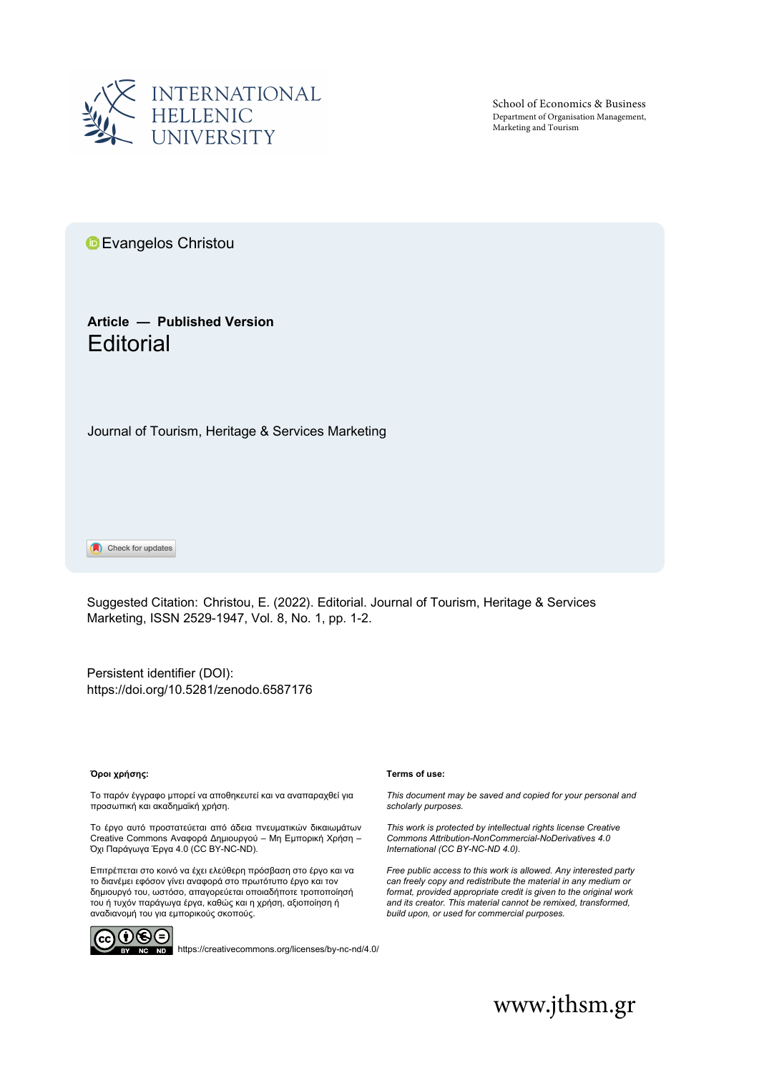

School of Economics & Business Department of Organisation Management, Marketing and Tourism

**E**vangelos Christ[ou](https://orcid.org/0000-0003-2855-9319)

# **Article — Published Version Editorial**

Journal of Tourism, Heritage & Services Marketing

Check for updates

Suggested Citation: Christou, E. (2022). Editorial. Journal of Tourism, Heritage & Services Marketing, ISSN 2529-1947, Vol. 8, No. 1, pp. 1-2.

[Persistent identifier \(DOI\)](http://dx.doi.org/10.5281/zenodo.%ED%AF%80%ED%B0%96%ED%AF%80%ED%B0%9B%ED%AF%80%ED%B0%96%ED%AF%80%ED%B0%99%ED%AF%80%ED%B0%99%ED%AF%80%ED%B0%96%ED%AF%80%ED%B0%9B): <https://doi.org/10.5281/zenodo.6587176>

### **Όροι χρήσης:**

Το παρόν έγγραφο μπορεί να αποθηκευτεί και να αναπαραχθεί για προσωπική και ακαδημαϊκή χρήση.

Το έργο αυτό προστατεύεται από άδεια πνευματικών δικαιωμάτων Creative Commons Αναφορά Δημιουργού – Μη Εμπορική Χρήση – Όχι Παράγωγα Έργα 4.0 (CC BY-NC-ND).

Επιτρέπεται στο κοινό να έχει ελεύθερη πρόσβαση στο έργο και να το διανέμει εφόσον γίνει αναφορά στο πρωτότυπο έργο και τον δημιουργό του, ωστόσο, απαγορεύεται οποιαδήποτε τροποποίησή του ή τυχόν παράγωγα έργα, καθώς και η χρήση, αξιοποίηση ή αναδιανομή του για εμπορικούς σκοπούς.



NC ND <https://creativecommons.org/licenses/by-nc-nd/4.0/>

#### **Terms of use:**

*This document may be saved and copied for your personal and scholarly purposes.*

*This work is protected by intellectual rights license Creative Commons Attribution-NonCommercial-NoDerivatives 4.0 International (CC BY-NC-ND 4.0).*

*Free public access to this work is allowed. Any interested party can freely copy and redistribute the material in any medium or format, provided appropriate credit is given to the original work and its creator. This material cannot be remixed, transformed, build upon, or used for commercial purposes.*

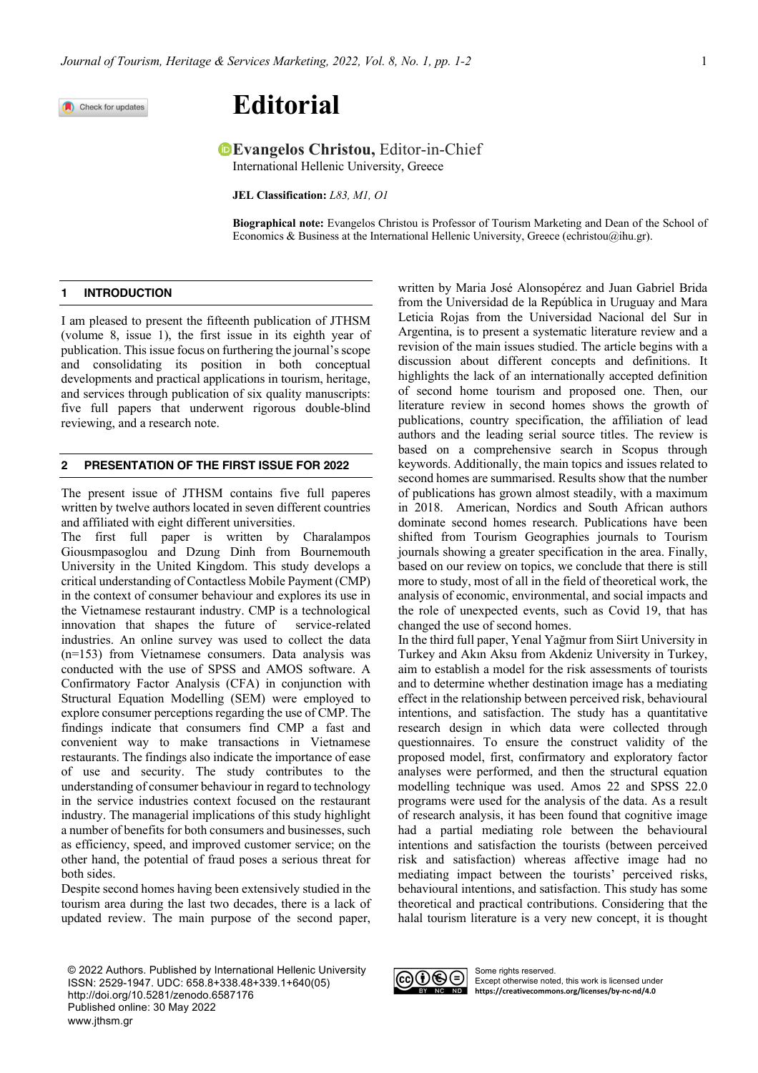Check for updates

# **Editorial**

## **Evangelos Christou, Editor-in-Chief**

International Hellenic University, Greece

**JEL Classification:** *L83, M1, O1*

**Biographical note:** Evangelos Christou is Professor of Tourism Marketing and Dean of the School of Economics & Business at the International Hellenic University, Greece (echristou@ihu.gr).

### **1 INTRODUCTION**

I am pleased to present the fifteenth publication of JTHSM (volume 8, issue 1), the first issue in its eighth year of publication. Thisissue focus on furthering the journal's scope and consolidating its position in both conceptual developments and practical applications in tourism, heritage, and services through publication of six quality manuscripts: five full papers that underwent rigorous double-blind reviewing, and a research note.

### **2 PRESENTATION OF THE FIRST ISSUE FOR 2022**

The present issue of JTHSM contains five full paperes written by twelve authors located in seven different countries and affiliated with eight different universities.

The first full paper is written by Charalampos Giousmpasoglou and Dzung Dinh from Bournemouth University in the United Kingdom. This study develops a critical understanding of Contactless Mobile Payment (CMP) in the context of consumer behaviour and explores its use in the Vietnamese restaurant industry. CMP is a technological innovation that shapes the future of service-related industries. An online survey was used to collect the data (n=153) from Vietnamese consumers. Data analysis was conducted with the use of SPSS and AMOS software. A Confirmatory Factor Analysis (CFA) in conjunction with Structural Equation Modelling (SEM) were employed to explore consumer perceptions regarding the use of CMP. The findings indicate that consumers find CMP a fast and convenient way to make transactions in Vietnamese restaurants. The findings also indicate the importance of ease of use and security. The study contributes to the understanding of consumer behaviour in regard to technology in the service industries context focused on the restaurant industry. The managerial implications of this study highlight a number of benefits for both consumers and businesses, such as efficiency, speed, and improved customer service; on the other hand, the potential of fraud poses a serious threat for both sides.

Despite second homes having been extensively studied in the tourism area during the last two decades, there is a lack of updated review. The main purpose of the second paper,

© 2022 Authors. Published by International Hellenic University ISSN: 2529-1947. UDC: 658.8+338.48+339.1+640(05) http://doi.org/10.5281/zenodo.6587176 Published online: 30 May 2022 www.jthsm.gr

written by Maria José Alonsopérez and Juan Gabriel Brida from the Universidad de la República in Uruguay and Mara Leticia Rojas from the Universidad Nacional del Sur in Argentina, is to present a systematic literature review and a revision of the main issues studied. The article begins with a discussion about different concepts and definitions. It highlights the lack of an internationally accepted definition of second home tourism and proposed one. Then, our literature review in second homes shows the growth of publications, country specification, the affiliation of lead authors and the leading serial source titles. The review is based on a comprehensive search in Scopus through keywords. Additionally, the main topics and issues related to second homes are summarised. Results show that the number of publications has grown almost steadily, with a maximum in 2018. American, Nordics and South African authors dominate second homes research. Publications have been shifted from Tourism Geographies journals to Tourism journals showing a greater specification in the area. Finally, based on our review on topics, we conclude that there is still more to study, most of all in the field of theoretical work, the analysis of economic, environmental, and social impacts and the role of unexpected events, such as Covid 19, that has changed the use of second homes.

In the third full paper, Yenal Yağmur from Siirt University in Turkey and Akın Aksu from Akdeniz University in Turkey, aim to establish a model for the risk assessments of tourists and to determine whether destination image has a mediating effect in the relationship between perceived risk, behavioural intentions, and satisfaction. The study has a quantitative research design in which data were collected through questionnaires. To ensure the construct validity of the proposed model, first, confirmatory and exploratory factor analyses were performed, and then the structural equation modelling technique was used. Amos 22 and SPSS 22.0 programs were used for the analysis of the data. As a result of research analysis, it has been found that cognitive image had a partial mediating role between the behavioural intentions and satisfaction the tourists (between perceived risk and satisfaction) whereas affective image had no mediating impact between the tourists' perceived risks, behavioural intentions, and satisfaction. This study has some theoretical and practical contributions. Considering that the halal tourism literature is a very new concept, it is thought



Some rights reserved. Except otherwise noted, this work is licensed under **https://creativecommons.org/licenses/by-nc-nd/4.0**